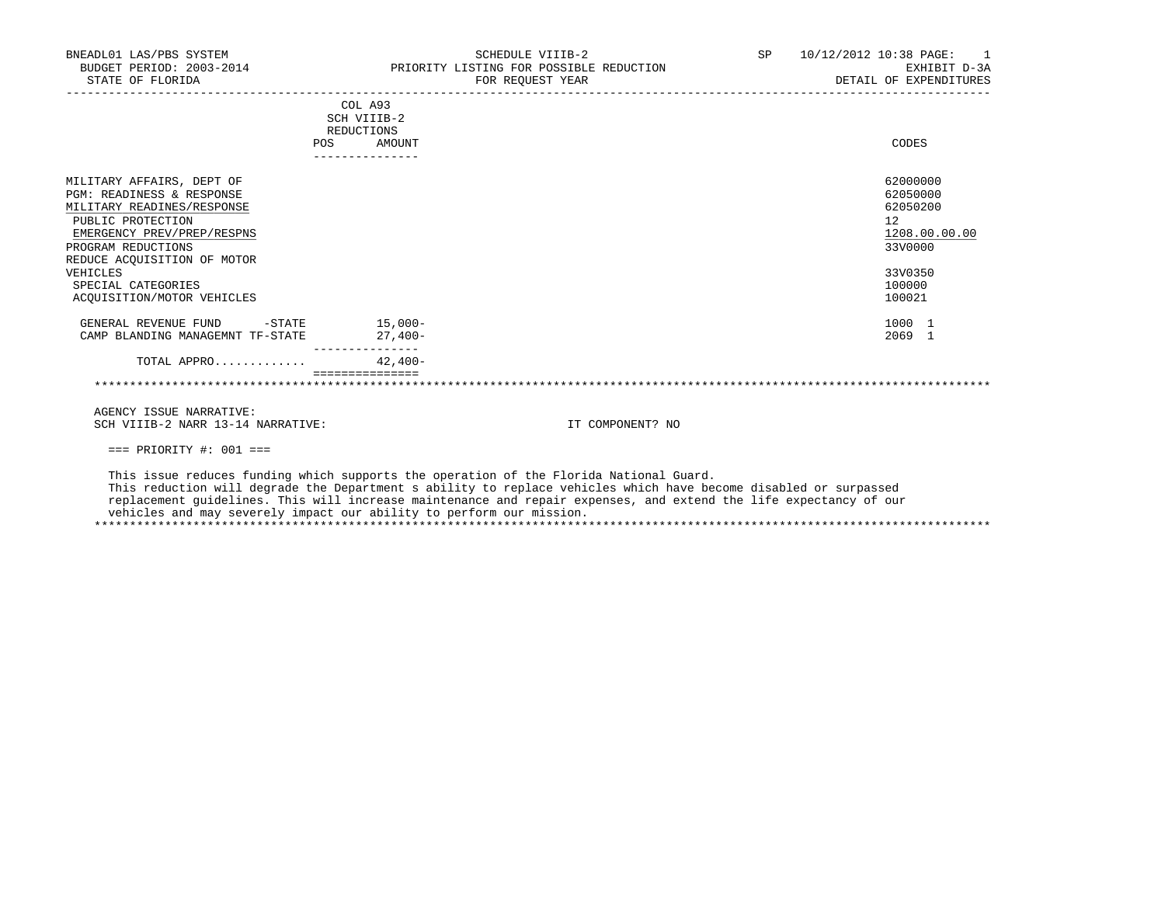| BNEADL01 LAS/PBS SYSTEM<br>BUDGET PERIOD: 2003-2014<br>STATE OF FLORIDA                                                                                                                                                                                                 |                                      | SCHEDULE VIIIB-2<br>PRIORITY LISTING FOR POSSIBLE REDUCTION<br>FOR REOUEST YEAR | SP | 10/12/2012 10:38 PAGE:<br>EXHIBIT D-3A<br>DETAIL OF EXPENDITURES                                  |
|-------------------------------------------------------------------------------------------------------------------------------------------------------------------------------------------------------------------------------------------------------------------------|--------------------------------------|---------------------------------------------------------------------------------|----|---------------------------------------------------------------------------------------------------|
|                                                                                                                                                                                                                                                                         | COL A93<br>SCH VIIIB-2<br>REDUCTIONS |                                                                                 |    |                                                                                                   |
|                                                                                                                                                                                                                                                                         | POS<br>AMOUNT                        |                                                                                 |    | CODES                                                                                             |
| MILITARY AFFAIRS, DEPT OF<br><b>PGM: READINESS &amp; RESPONSE</b><br>MILITARY READINES/RESPONSE<br>PUBLIC PROTECTION<br>EMERGENCY PREV/PREP/RESPNS<br>PROGRAM REDUCTIONS<br>REDUCE ACOUISITION OF MOTOR<br>VEHICLES<br>SPECIAL CATEGORIES<br>ACOUISITION/MOTOR VEHICLES |                                      |                                                                                 |    | 62000000<br>62050000<br>62050200<br>12<br>1208.00.00.00<br>33V0000<br>33V0350<br>100000<br>100021 |
| GENERAL REVENUE FUND -STATE 15,000-<br>CAMP BLANDING MANAGEMNT TF-STATE                                                                                                                                                                                                 | $27.400 -$                           |                                                                                 |    | 1000 1<br>2069 1                                                                                  |
| TOTAL APPRO                                                                                                                                                                                                                                                             | $42,400-$                            |                                                                                 |    |                                                                                                   |
|                                                                                                                                                                                                                                                                         |                                      |                                                                                 |    |                                                                                                   |
| AGENCY ISSUE NARRATIVE:<br>SCH VIIIB-2 NARR 13-14 NARRATIVE:                                                                                                                                                                                                            |                                      | IT COMPONENT? NO                                                                |    |                                                                                                   |

 $==$  PRIORITY #: 001  $==$ 

 This issue reduces funding which supports the operation of the Florida National Guard. This reduction will degrade the Department s ability to replace vehicles which have become disabled or surpassed replacement guidelines. This will increase maintenance and repair expenses, and extend the life expectancy of our vehicles and may severely impact our ability to perform our mission. \*\*\*\*\*\*\*\*\*\*\*\*\*\*\*\*\*\*\*\*\*\*\*\*\*\*\*\*\*\*\*\*\*\*\*\*\*\*\*\*\*\*\*\*\*\*\*\*\*\*\*\*\*\*\*\*\*\*\*\*\*\*\*\*\*\*\*\*\*\*\*\*\*\*\*\*\*\*\*\*\*\*\*\*\*\*\*\*\*\*\*\*\*\*\*\*\*\*\*\*\*\*\*\*\*\*\*\*\*\*\*\*\*\*\*\*\*\*\*\*\*\*\*\*\*\*\*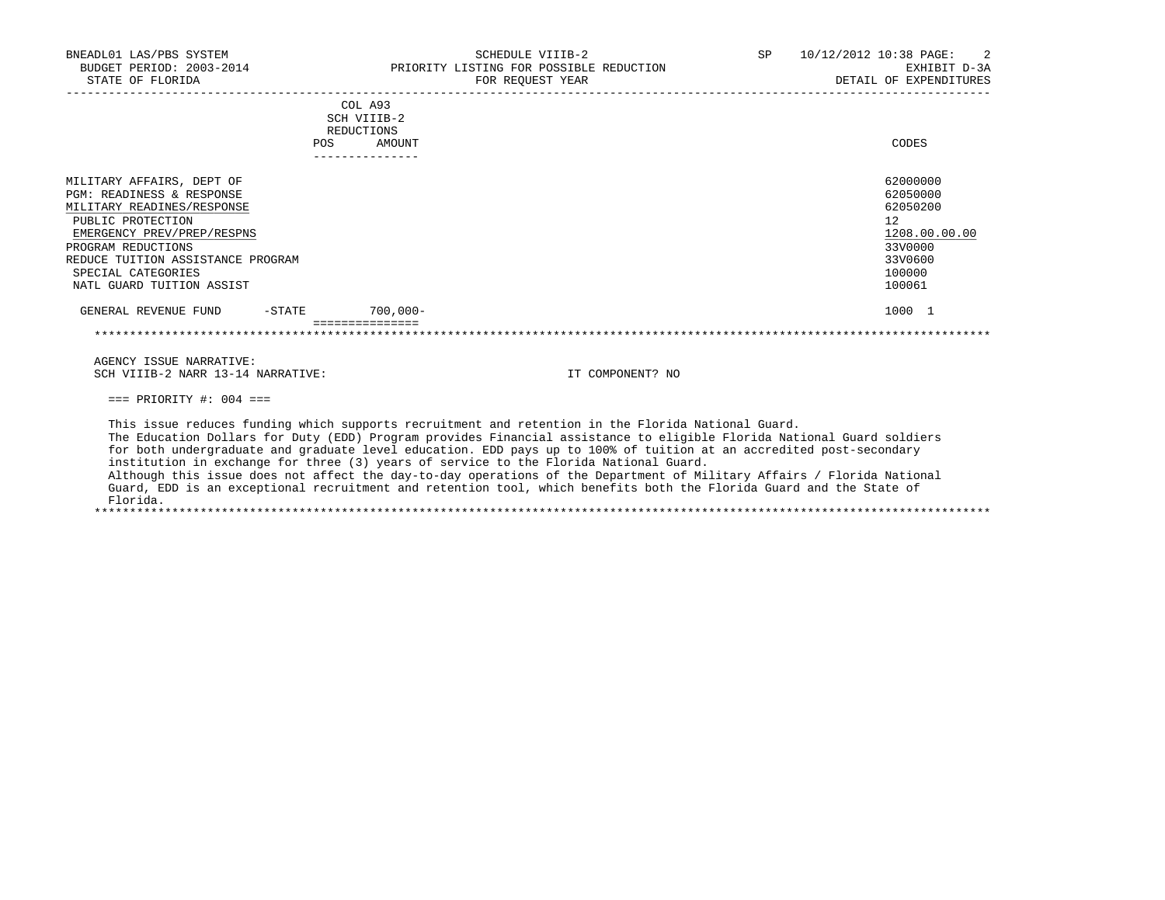| BNEADL01 LAS/PBS SYSTEM<br>BUDGET PERIOD: 2003-2014<br>STATE OF FLORIDA                                                                                                                                                                               |                                                              | SCHEDULE VIIIB-2<br>PRIORITY LISTING FOR POSSIBLE REDUCTION<br>FOR REQUEST YEAR | SP 10/12/2012 10:38 PAGE: 2 | EXHIBIT D-3A<br>DETAIL OF EXPENDITURES                                                      |
|-------------------------------------------------------------------------------------------------------------------------------------------------------------------------------------------------------------------------------------------------------|--------------------------------------------------------------|---------------------------------------------------------------------------------|-----------------------------|---------------------------------------------------------------------------------------------|
|                                                                                                                                                                                                                                                       | COL A93<br>SCH VIIIB-2<br>REDUCTIONS<br><b>POS</b><br>AMOUNT |                                                                                 |                             | CODES                                                                                       |
| MILITARY AFFAIRS, DEPT OF<br>PGM: READINESS & RESPONSE<br>MILITARY READINES/RESPONSE<br>PUBLIC PROTECTION<br>EMERGENCY PREV/PREP/RESPNS<br>PROGRAM REDUCTIONS<br>REDUCE TUITION ASSISTANCE PROGRAM<br>SPECIAL CATEGORIES<br>NATL GUARD TUITION ASSIST |                                                              |                                                                                 | 12                          | 62000000<br>62050000<br>62050200<br>1208.00.00.00<br>33V0000<br>33V0600<br>100000<br>100061 |
| GENERAL REVENUE FUND -STATE 700,000-                                                                                                                                                                                                                  |                                                              |                                                                                 |                             | 1000 1                                                                                      |
| AGENCY ISSUE NARRATIVE:                                                                                                                                                                                                                               |                                                              |                                                                                 |                             |                                                                                             |
| SCH VIIIB-2 NARR 13-14 NARRATIVE:                                                                                                                                                                                                                     |                                                              | IT COMPONENT? NO                                                                |                             |                                                                                             |

 $==$  PRIORITY #: 004  $==$ 

 This issue reduces funding which supports recruitment and retention in the Florida National Guard. The Education Dollars for Duty (EDD) Program provides Financial assistance to eligible Florida National Guard soldiers for both undergraduate and graduate level education. EDD pays up to 100% of tuition at an accredited post-secondary institution in exchange for three (3) years of service to the Florida National Guard. Although this issue does not affect the day-to-day operations of the Department of Military Affairs / Florida National Guard, EDD is an exceptional recruitment and retention tool, which benefits both the Florida Guard and the State of Florida. \*\*\*\*\*\*\*\*\*\*\*\*\*\*\*\*\*\*\*\*\*\*\*\*\*\*\*\*\*\*\*\*\*\*\*\*\*\*\*\*\*\*\*\*\*\*\*\*\*\*\*\*\*\*\*\*\*\*\*\*\*\*\*\*\*\*\*\*\*\*\*\*\*\*\*\*\*\*\*\*\*\*\*\*\*\*\*\*\*\*\*\*\*\*\*\*\*\*\*\*\*\*\*\*\*\*\*\*\*\*\*\*\*\*\*\*\*\*\*\*\*\*\*\*\*\*\*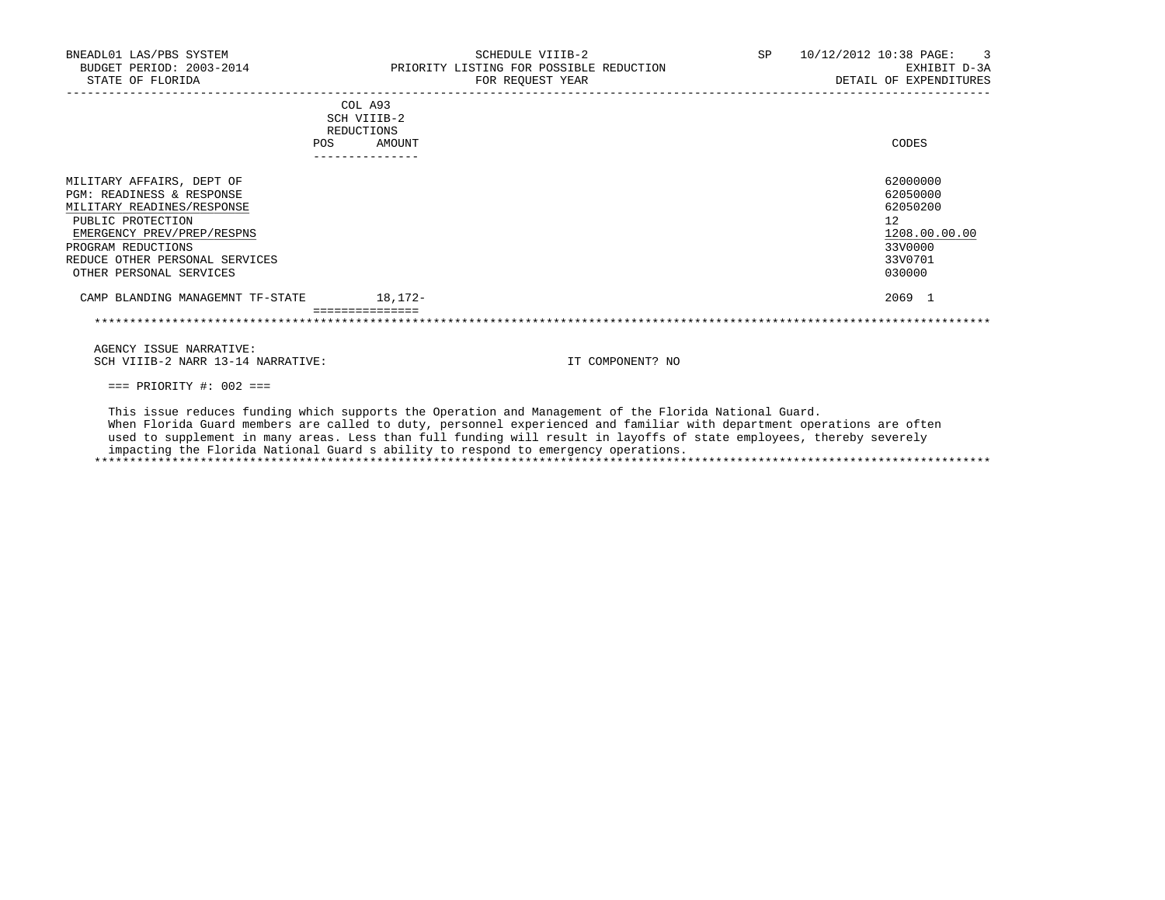| BNEADL01 LAS/PBS SYSTEM<br>BUDGET PERIOD: 2003-2014<br>STATE OF FLORIDA                                                                                                                                                    | SCHEDULE VIIIB-2<br>PRIORITY LISTING FOR POSSIBLE REDUCTION<br>FOR REQUEST YEAR | SP<br>10/12/2012 10:38 PAGE:<br>$\overline{\phantom{a}}$<br>EXHIBIT D-3A<br>DETAIL OF EXPENDITURES |
|----------------------------------------------------------------------------------------------------------------------------------------------------------------------------------------------------------------------------|---------------------------------------------------------------------------------|----------------------------------------------------------------------------------------------------|
|                                                                                                                                                                                                                            | ---------------<br>COL A93<br>SCH VIIIB-2<br>REDUCTIONS<br>POS<br>AMOUNT        | CODES                                                                                              |
| MILITARY AFFAIRS, DEPT OF<br>PGM: READINESS & RESPONSE<br>MILITARY READINES/RESPONSE<br>PUBLIC PROTECTION<br>EMERGENCY PREV/PREP/RESPNS<br>PROGRAM REDUCTIONS<br>REDUCE OTHER PERSONAL SERVICES<br>OTHER PERSONAL SERVICES |                                                                                 | 62000000<br>62050000<br>62050200<br>12<br>1208.00.00.00<br>33V0000<br>33V0701<br>030000            |
| CAMP BLANDING MANAGEMNT TF-STATE                                                                                                                                                                                           | $18,172-$<br>===============                                                    | 2069 1                                                                                             |
|                                                                                                                                                                                                                            |                                                                                 |                                                                                                    |

 AGENCY ISSUE NARRATIVE: SCH VIIIB-2 NARR 13-14 NARRATIVE: IT COMPONENT? NO

 $==$  PRIORITY #: 002  $==$ 

 This issue reduces funding which supports the Operation and Management of the Florida National Guard. When Florida Guard members are called to duty, personnel experienced and familiar with department operations are often used to supplement in many areas. Less than full funding will result in layoffs of state employees, thereby severely impacting the Florida National Guard s ability to respond to emergency operations. \*\*\*\*\*\*\*\*\*\*\*\*\*\*\*\*\*\*\*\*\*\*\*\*\*\*\*\*\*\*\*\*\*\*\*\*\*\*\*\*\*\*\*\*\*\*\*\*\*\*\*\*\*\*\*\*\*\*\*\*\*\*\*\*\*\*\*\*\*\*\*\*\*\*\*\*\*\*\*\*\*\*\*\*\*\*\*\*\*\*\*\*\*\*\*\*\*\*\*\*\*\*\*\*\*\*\*\*\*\*\*\*\*\*\*\*\*\*\*\*\*\*\*\*\*\*\*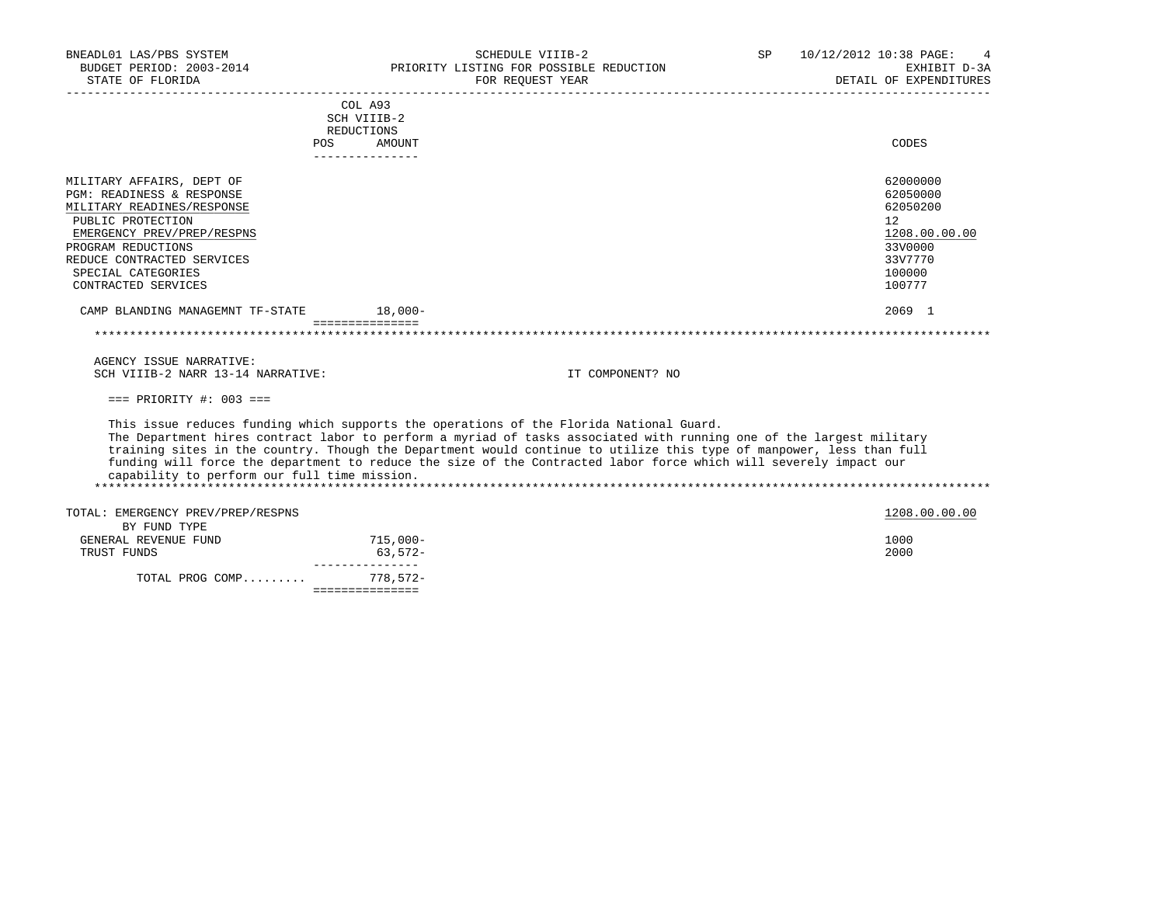| BNEADL01 LAS/PBS SYSTEM                                                                                                                                                                                                                  | SCHEDULE VIIIB-2<br>BUDGET PERIOD: 2003-2014 PRIORITY LISTING FOR POSSIBLE REDUCTION                                                                                                                                                                                                                                                                                                                                                                         | SP | 10/12/2012 10:38 PAGE: | EXHIBIT D-3A                                                                                                   |
|------------------------------------------------------------------------------------------------------------------------------------------------------------------------------------------------------------------------------------------|--------------------------------------------------------------------------------------------------------------------------------------------------------------------------------------------------------------------------------------------------------------------------------------------------------------------------------------------------------------------------------------------------------------------------------------------------------------|----|------------------------|----------------------------------------------------------------------------------------------------------------|
| STATE OF FLORIDA                                                                                                                                                                                                                         | FOR REQUEST YEAR                                                                                                                                                                                                                                                                                                                                                                                                                                             |    |                        | DETAIL OF EXPENDITURES                                                                                         |
|                                                                                                                                                                                                                                          | COL A93<br>SCH VIIIB-2<br>REDUCTIONS<br>POS.<br>AMOUNT<br>_______________                                                                                                                                                                                                                                                                                                                                                                                    |    |                        | CODES                                                                                                          |
| MILITARY AFFAIRS, DEPT OF<br>PGM: READINESS & RESPONSE<br>MILITARY READINES/RESPONSE<br>PUBLIC PROTECTION<br>EMERGENCY PREV/PREP/RESPNS<br>PROGRAM REDUCTIONS<br>REDUCE CONTRACTED SERVICES<br>SPECIAL CATEGORIES<br>CONTRACTED SERVICES |                                                                                                                                                                                                                                                                                                                                                                                                                                                              |    |                        | 62000000<br>62050000<br>62050200<br>12 <sup>°</sup><br>1208.00.00.00<br>33V0000<br>33V7770<br>100000<br>100777 |
| CAMP BLANDING MANAGEMNT TF-STATE 18,000-                                                                                                                                                                                                 |                                                                                                                                                                                                                                                                                                                                                                                                                                                              |    |                        | 2069 1                                                                                                         |
|                                                                                                                                                                                                                                          | ================                                                                                                                                                                                                                                                                                                                                                                                                                                             |    |                        |                                                                                                                |
| AGENCY ISSUE NARRATIVE:<br>SCH VIIIB-2 NARR 13-14 NARRATIVE:                                                                                                                                                                             | IT COMPONENT? NO                                                                                                                                                                                                                                                                                                                                                                                                                                             |    |                        |                                                                                                                |
| $==$ PRIORITY #: 003 ===                                                                                                                                                                                                                 |                                                                                                                                                                                                                                                                                                                                                                                                                                                              |    |                        |                                                                                                                |
| capability to perform our full time mission.                                                                                                                                                                                             | This issue reduces funding which supports the operations of the Florida National Guard.<br>The Department hires contract labor to perform a myriad of tasks associated with running one of the largest military<br>training sites in the country. Though the Department would continue to utilize this type of manpower, less than full<br>funding will force the department to reduce the size of the Contracted labor force which will severely impact our |    |                        |                                                                                                                |
| TOTAL: EMERGENCY PREV/PREP/RESPNS                                                                                                                                                                                                        |                                                                                                                                                                                                                                                                                                                                                                                                                                                              |    |                        | 1208.00.00.00                                                                                                  |
| BY FUND TYPE<br>GENERAL REVENUE FUND<br>TRUST FUNDS                                                                                                                                                                                      | $715,000-$<br>63,572-                                                                                                                                                                                                                                                                                                                                                                                                                                        |    |                        | 1000<br>2000                                                                                                   |
| TOTAL PROG COMP 778,572-                                                                                                                                                                                                                 | ________________                                                                                                                                                                                                                                                                                                                                                                                                                                             |    |                        |                                                                                                                |
|                                                                                                                                                                                                                                          | ===============                                                                                                                                                                                                                                                                                                                                                                                                                                              |    |                        |                                                                                                                |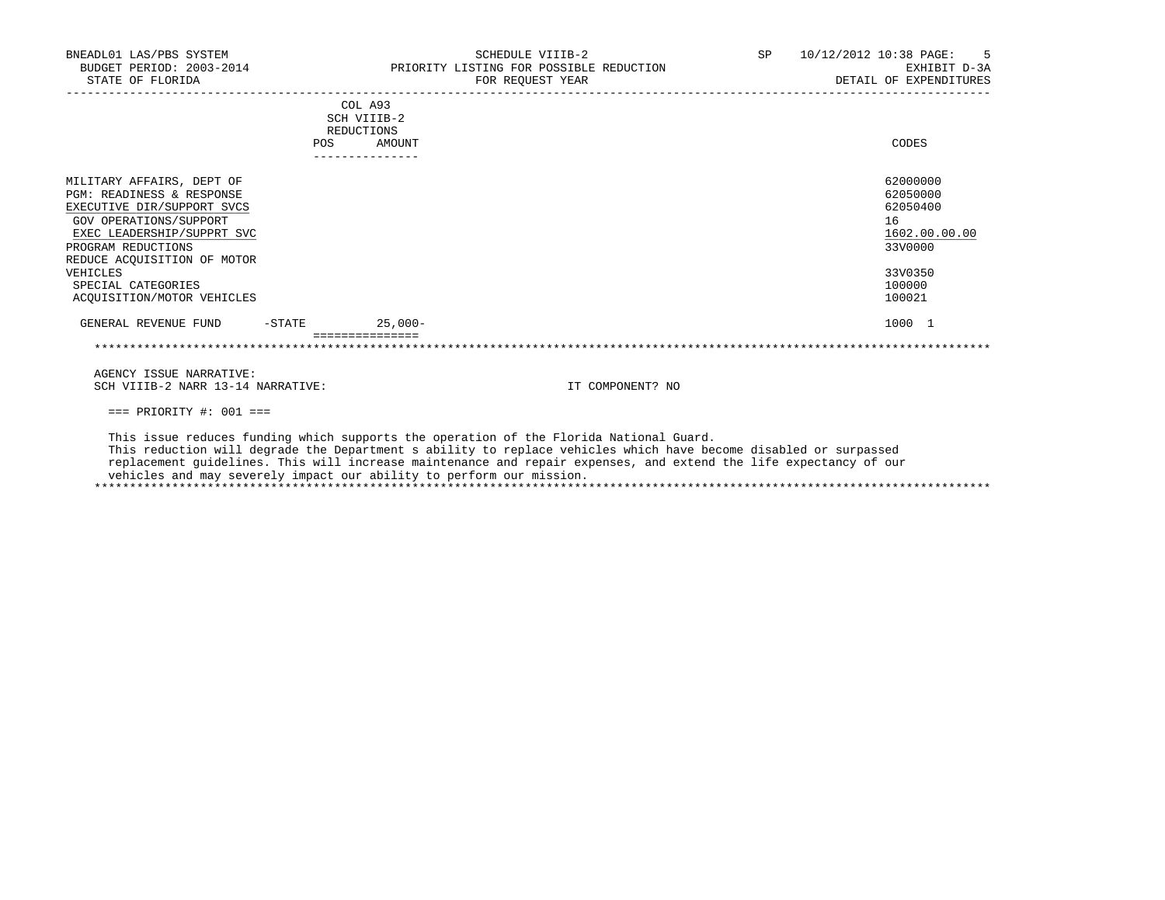| BNEADL01 LAS/PBS SYSTEM<br>BUDGET PERIOD: 2003-2014<br>STATE OF FLORIDA                                                                                                                                                                                           |                                             | SCHEDULE VIIIB-2<br>PRIORITY LISTING FOR POSSIBLE REDUCTION<br>FOR REOUEST YEAR        |                  | -5<br>SP 10/12/2012 10:38 PAGE:<br>EXHIBIT D-3A<br>DETAIL OF EXPENDITURES                         |
|-------------------------------------------------------------------------------------------------------------------------------------------------------------------------------------------------------------------------------------------------------------------|---------------------------------------------|----------------------------------------------------------------------------------------|------------------|---------------------------------------------------------------------------------------------------|
|                                                                                                                                                                                                                                                                   | COL A93<br>SCH VIIIB-2<br>REDUCTIONS<br>POS | AMOUNT                                                                                 |                  | CODES                                                                                             |
| MILITARY AFFAIRS, DEPT OF<br>PGM: READINESS & RESPONSE<br>EXECUTIVE DIR/SUPPORT SVCS<br>GOV OPERATIONS/SUPPORT<br>EXEC LEADERSHIP/SUPPRT SVC<br>PROGRAM REDUCTIONS<br>REDUCE ACOUISITION OF MOTOR<br>VEHICLES<br>SPECIAL CATEGORIES<br>ACOUISITION/MOTOR VEHICLES |                                             |                                                                                        |                  | 62000000<br>62050000<br>62050400<br>16<br>1602.00.00.00<br>33V0000<br>33V0350<br>100000<br>100021 |
| GENERAL REVENUE FUND -STATE                                                                                                                                                                                                                                       | $25.000 -$                                  |                                                                                        |                  | 1000 1                                                                                            |
|                                                                                                                                                                                                                                                                   |                                             |                                                                                        |                  |                                                                                                   |
| AGENCY ISSUE NARRATIVE:<br>SCH VIIIB-2 NARR 13-14 NARRATIVE:<br>$==$ PRIORITY #: 001 ===                                                                                                                                                                          |                                             |                                                                                        | IT COMPONENT? NO |                                                                                                   |
|                                                                                                                                                                                                                                                                   |                                             | This issue reduces funding which supports the operation of the Florida National Guard. |                  |                                                                                                   |

 This reduction will degrade the Department s ability to replace vehicles which have become disabled or surpassed replacement guidelines. This will increase maintenance and repair expenses, and extend the life expectancy of our vehicles and may severely impact our ability to perform our mission. \*\*\*\*\*\*\*\*\*\*\*\*\*\*\*\*\*\*\*\*\*\*\*\*\*\*\*\*\*\*\*\*\*\*\*\*\*\*\*\*\*\*\*\*\*\*\*\*\*\*\*\*\*\*\*\*\*\*\*\*\*\*\*\*\*\*\*\*\*\*\*\*\*\*\*\*\*\*\*\*\*\*\*\*\*\*\*\*\*\*\*\*\*\*\*\*\*\*\*\*\*\*\*\*\*\*\*\*\*\*\*\*\*\*\*\*\*\*\*\*\*\*\*\*\*\*\*